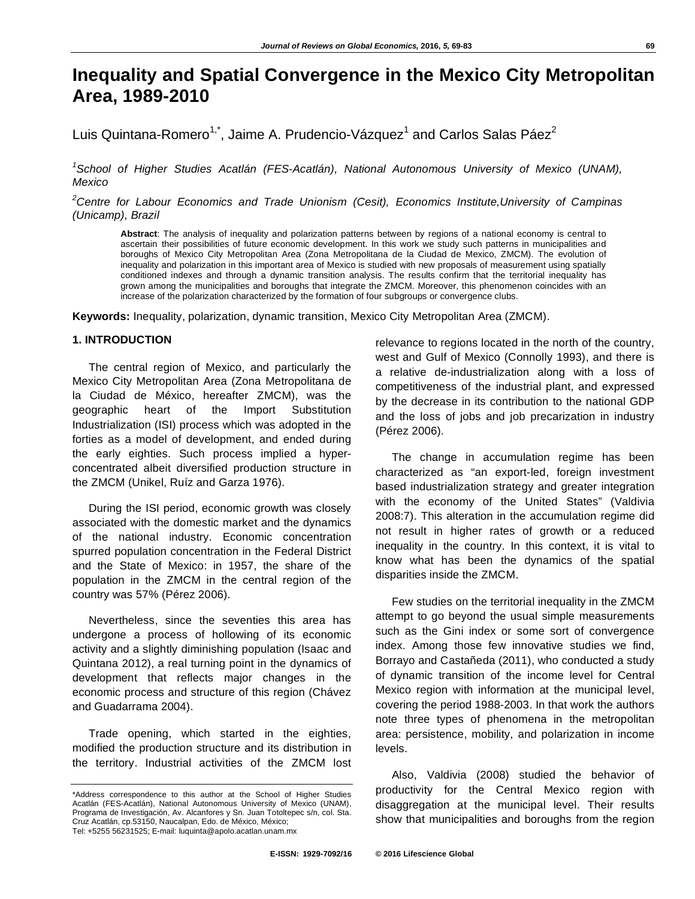# **Inequality and Spatial Convergence in the Mexico City Metropolitan Area, 1989-2010**

Luis Quintana-Romero $^{1,^*}$ , Jaime A. Prudencio-Vázquez $^1$  and Carlos Salas Páez $^2$ 

<sup>1</sup> School of Higher Studies Acatlán (FES-Acatlán), National Autonomous University of Mexico (UNAM), *Mexico* 

*2 Centre for Labour Economics and Trade Unionism (Cesit), Economics Institute,University of Campinas (Unicamp), Brazil* 

**Abstract**: The analysis of inequality and polarization patterns between by regions of a national economy is central to ascertain their possibilities of future economic development. In this work we study such patterns in municipalities and boroughs of Mexico City Metropolitan Area (Zona Metropolitana de la Ciudad de Mexico, ZMCM). The evolution of inequality and polarization in this important area of Mexico is studied with new proposals of measurement using spatially conditioned indexes and through a dynamic transition analysis. The results confirm that the territorial inequality has grown among the municipalities and boroughs that integrate the ZMCM. Moreover, this phenomenon coincides with an increase of the polarization characterized by the formation of four subgroups or convergence clubs.

**Keywords:** Inequality, polarization, dynamic transition, Mexico City Metropolitan Area (ZMCM).

# **1. INTRODUCTION**

The central region of Mexico, and particularly the Mexico City Metropolitan Area (Zona Metropolitana de la Ciudad de México, hereafter ZMCM), was the geographic heart of the Import Substitution Industrialization (ISI) process which was adopted in the forties as a model of development, and ended during the early eighties. Such process implied a hyperconcentrated albeit diversified production structure in the ZMCM (Unikel, Ruíz and Garza 1976).

During the ISI period, economic growth was closely associated with the domestic market and the dynamics of the national industry. Economic concentration spurred population concentration in the Federal District and the State of Mexico: in 1957, the share of the population in the ZMCM in the central region of the country was 57% (Pérez 2006).

Nevertheless, since the seventies this area has undergone a process of hollowing of its economic activity and a slightly diminishing population (Isaac and Quintana 2012), a real turning point in the dynamics of development that reflects major changes in the economic process and structure of this region (Chávez and Guadarrama 2004).

Trade opening, which started in the eighties, modified the production structure and its distribution in the territory. Industrial activities of the ZMCM lost relevance to regions located in the north of the country, west and Gulf of Mexico (Connolly 1993), and there is a relative de-industrialization along with a loss of competitiveness of the industrial plant, and expressed by the decrease in its contribution to the national GDP and the loss of jobs and job precarization in industry (Pérez 2006).

The change in accumulation regime has been characterized as "an export-led, foreign investment based industrialization strategy and greater integration with the economy of the United States" (Valdivia 2008:7). This alteration in the accumulation regime did not result in higher rates of growth or a reduced inequality in the country. In this context, it is vital to know what has been the dynamics of the spatial disparities inside the ZMCM.

Few studies on the territorial inequality in the ZMCM attempt to go beyond the usual simple measurements such as the Gini index or some sort of convergence index. Among those few innovative studies we find, Borrayo and Castañeda (2011), who conducted a study of dynamic transition of the income level for Central Mexico region with information at the municipal level, covering the period 1988-2003. In that work the authors note three types of phenomena in the metropolitan area: persistence, mobility, and polarization in income levels.

Also, Valdivia (2008) studied the behavior of productivity for the Central Mexico region with disaggregation at the municipal level. Their results show that municipalities and boroughs from the region

<sup>\*</sup>Address correspondence to this author at the School of Higher Studies Acatlán (FES-Acatlán), National Autonomous University of Mexico (UNAM), Programa de Investigación, Av. Alcanfores y Sn. Juan Totoltepec s/n, col. Sta. Cruz Acatlán, cp.53150, Naucalpan, Edo. de México, México; Tel: +5255 56231525; E-mail: luquinta@apolo.acatlan.unam.mx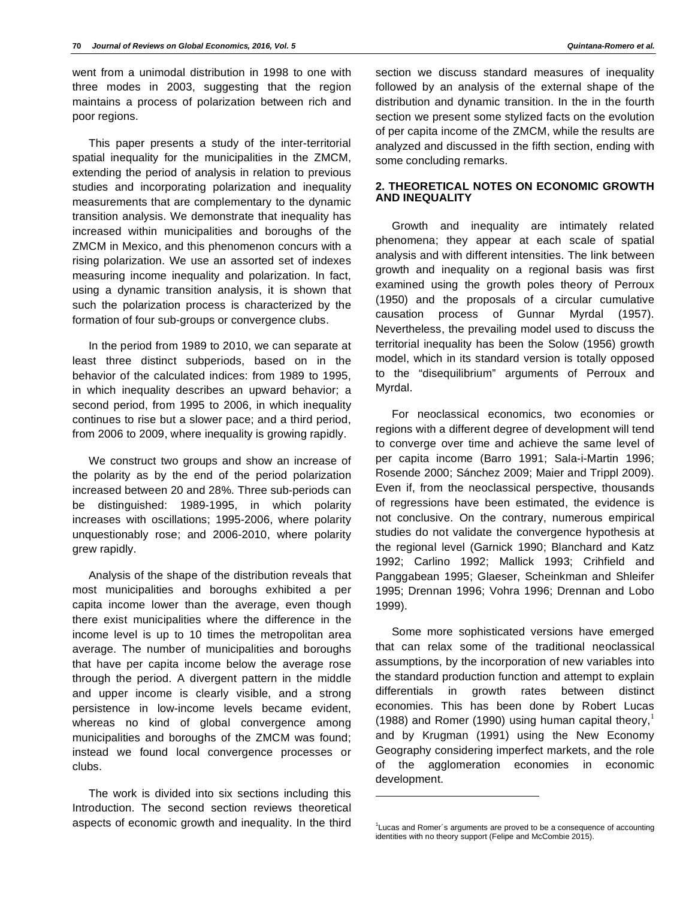went from a unimodal distribution in 1998 to one with three modes in 2003, suggesting that the region maintains a process of polarization between rich and poor regions.

This paper presents a study of the inter-territorial spatial inequality for the municipalities in the ZMCM, extending the period of analysis in relation to previous studies and incorporating polarization and inequality measurements that are complementary to the dynamic transition analysis. We demonstrate that inequality has increased within municipalities and boroughs of the ZMCM in Mexico, and this phenomenon concurs with a rising polarization. We use an assorted set of indexes measuring income inequality and polarization. In fact, using a dynamic transition analysis, it is shown that such the polarization process is characterized by the formation of four sub-groups or convergence clubs.

In the period from 1989 to 2010, we can separate at least three distinct subperiods, based on in the behavior of the calculated indices: from 1989 to 1995, in which inequality describes an upward behavior; a second period, from 1995 to 2006, in which inequality continues to rise but a slower pace; and a third period, from 2006 to 2009, where inequality is growing rapidly.

We construct two groups and show an increase of the polarity as by the end of the period polarization increased between 20 and 28%. Three sub-periods can be distinguished: 1989-1995, in which polarity increases with oscillations; 1995-2006, where polarity unquestionably rose; and 2006-2010, where polarity grew rapidly.

Analysis of the shape of the distribution reveals that most municipalities and boroughs exhibited a per capita income lower than the average, even though there exist municipalities where the difference in the income level is up to 10 times the metropolitan area average. The number of municipalities and boroughs that have per capita income below the average rose through the period. A divergent pattern in the middle and upper income is clearly visible, and a strong persistence in low-income levels became evident, whereas no kind of global convergence among municipalities and boroughs of the ZMCM was found; instead we found local convergence processes or clubs.

The work is divided into six sections including this Introduction. The second section reviews theoretical aspects of economic growth and inequality. In the third section we discuss standard measures of inequality followed by an analysis of the external shape of the distribution and dynamic transition. In the in the fourth section we present some stylized facts on the evolution of per capita income of the ZMCM, while the results are analyzed and discussed in the fifth section, ending with some concluding remarks.

## **2. THEORETICAL NOTES ON ECONOMIC GROWTH AND INEQUALITY**

Growth and inequality are intimately related phenomena; they appear at each scale of spatial analysis and with different intensities. The link between growth and inequality on a regional basis was first examined using the growth poles theory of Perroux (1950) and the proposals of a circular cumulative causation process of Gunnar Myrdal (1957). Nevertheless, the prevailing model used to discuss the territorial inequality has been the Solow (1956) growth model, which in its standard version is totally opposed to the "disequilibrium" arguments of Perroux and Myrdal.

For neoclassical economics, two economies or regions with a different degree of development will tend to converge over time and achieve the same level of per capita income (Barro 1991; Sala-i-Martin 1996; Rosende 2000; Sánchez 2009; Maier and Trippl 2009). Even if, from the neoclassical perspective, thousands of regressions have been estimated, the evidence is not conclusive. On the contrary, numerous empirical studies do not validate the convergence hypothesis at the regional level (Garnick 1990; Blanchard and Katz 1992; Carlino 1992; Mallick 1993; Crihfield and Panggabean 1995; Glaeser, Scheinkman and Shleifer 1995; Drennan 1996; Vohra 1996; Drennan and Lobo 1999).

Some more sophisticated versions have emerged that can relax some of the traditional neoclassical assumptions, by the incorporation of new variables into the standard production function and attempt to explain differentials in growth rates between distinct economies. This has been done by Robert Lucas (1988) and Romer (1990) using human capital theory, $<sup>1</sup>$ </sup> and by Krugman (1991) using the New Economy Geography considering imperfect markets, and the role of the agglomeration economies in economic development.

l

 $1$ Lucas and Romer's arguments are proved to be a consequence of accounting identities with no theory support (Felipe and McCombie 2015).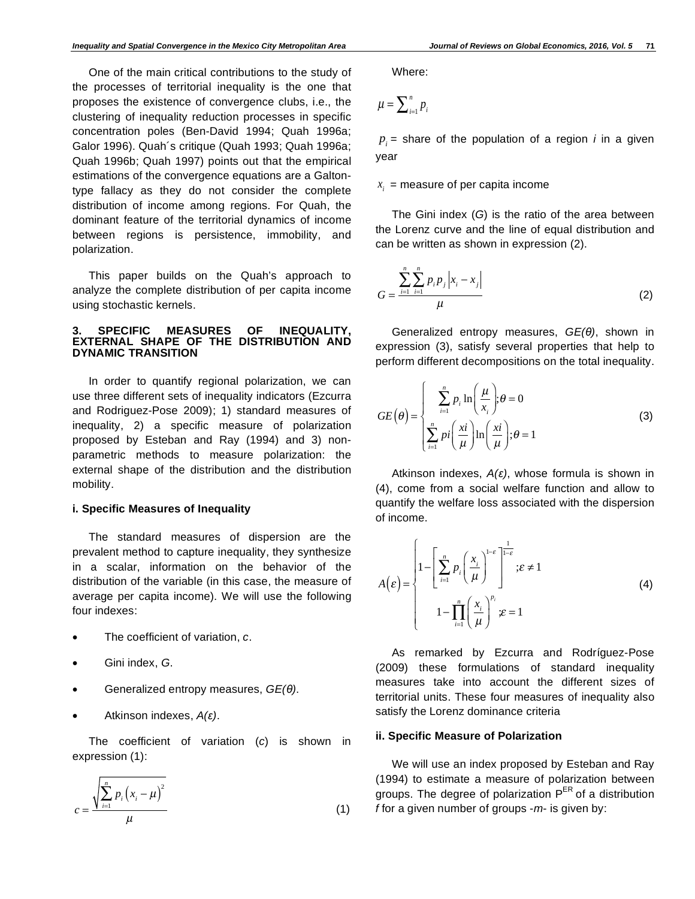One of the main critical contributions to the study of the processes of territorial inequality is the one that proposes the existence of convergence clubs, i.e., the clustering of inequality reduction processes in specific concentration poles (Ben-David 1994; Quah 1996a; Galor 1996). Quah´s critique (Quah 1993; Quah 1996a; Quah 1996b; Quah 1997) points out that the empirical estimations of the convergence equations are a Galtontype fallacy as they do not consider the complete distribution of income among regions. For Quah, the dominant feature of the territorial dynamics of income between regions is persistence, immobility, and polarization.

This paper builds on the Quah's approach to analyze the complete distribution of per capita income using stochastic kernels.

### **3. SPECIFIC MEASURES OF INEQUALITY, EXTERNAL SHAPE OF THE DISTRIBUTION AND DYNAMIC TRANSITION**

In order to quantify regional polarization, we can use three different sets of inequality indicators (Ezcurra and Rodriguez-Pose 2009); 1) standard measures of inequality, 2) a specific measure of polarization proposed by Esteban and Ray (1994) and 3) nonparametric methods to measure polarization: the external shape of the distribution and the distribution mobility.

### **i. Specific Measures of Inequality**

The standard measures of dispersion are the prevalent method to capture inequality, they synthesize in a scalar, information on the behavior of the distribution of the variable (in this case, the measure of average per capita income). We will use the following four indexes:

- The coefficient of variation, *c*.
- Gini index, *G*.
- Generalized entropy measures,  $GE(θ)$ .
- Atkinson indexes, *A()*.

The coefficient of variation (*c*) is shown in expression (1):

$$
c = \frac{\sqrt{\sum_{i=1}^{n} p_i (x_i - \mu)^2}}{\mu}
$$
 (1)

Where:

$$
\mu = \sum_{i=1}^n p_i
$$

 $p_i$  = share of the population of a region *i* in a given year

### $x_i$  = measure of per capita income

The Gini index (*G*) is the ratio of the area between the Lorenz curve and the line of equal distribution and can be written as shown in expression (2).

$$
G = \frac{\sum_{i=1}^{n} \sum_{i=1}^{n} p_i p_j |x_i - x_j|}{\mu}
$$
 (2)

Generalized entropy measures, *GE(θ)*, shown in expression (3), satisfy several properties that help to perform different decompositions on the total inequality.

$$
GE(\theta) = \begin{cases} \sum_{i=1}^{n} p_i \ln \left( \frac{\mu}{x_i} \right); \theta = 0\\ \sum_{i=1}^{n} p_i \left( \frac{x_i}{\mu} \right) \ln \left( \frac{x_i}{\mu} \right); \theta = 1 \end{cases}
$$
(3)

Atkinson indexes,  $A(\varepsilon)$ , whose formula is shown in (4), come from a social welfare function and allow to quantify the welfare loss associated with the dispersion of income.

$$
A(\varepsilon) = \begin{cases} 1 - \left[ \sum_{i=1}^{n} p_i \left( \frac{x_i}{\mu} \right)^{1-\varepsilon} \right]_{-\varepsilon}^{\frac{1}{1-\varepsilon}}; \varepsilon \neq 1 \\ 1 - \prod_{i=1}^{n} \left( \frac{x_i}{\mu} \right)^{p_i} \varepsilon = 1 \end{cases}
$$
(4)

As remarked by Ezcurra and Rodríguez-Pose (2009) these formulations of standard inequality measures take into account the different sizes of territorial units. These four measures of inequality also satisfy the Lorenz dominance criteria

# **ii. Specific Measure of Polarization**

We will use an index proposed by Esteban and Ray (1994) to estimate a measure of polarization between groups. The degree of polarization P<sup>ER</sup> of a distribution *f* for a given number of groups -*m*- is given by: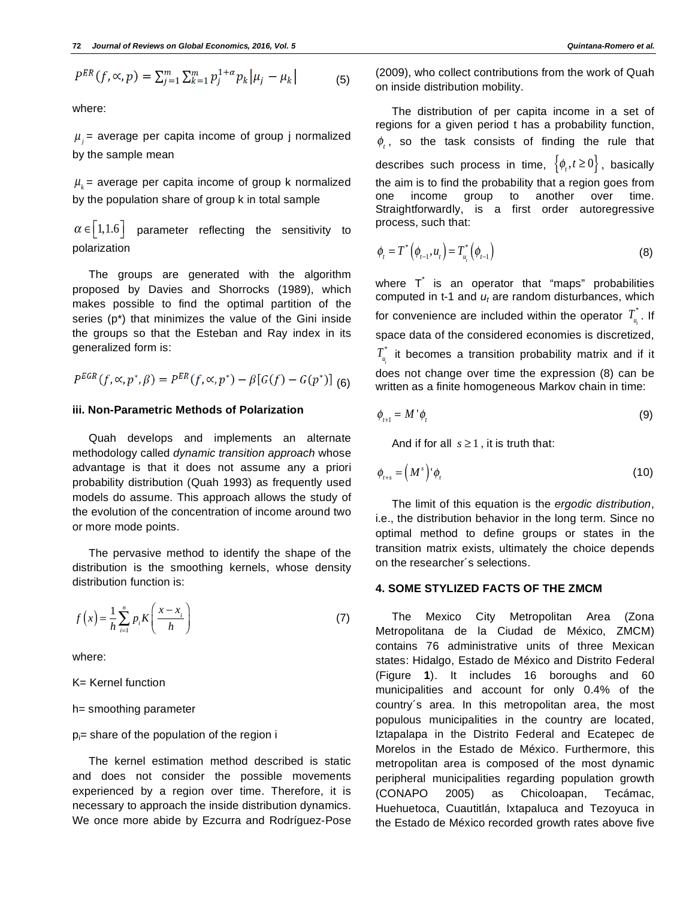$$
P^{ER}(f, \infty, p) = \sum_{j=1}^{m} \sum_{k=1}^{m} p_j^{1+\alpha} p_k |\mu_j - \mu_k|
$$
 (5)

where:

 $\mu$  = average per capita income of group j normalized by the sample mean

 $\mu_k$  = average per capita income of group k normalized by the population share of group k in total sample

 $\alpha \in [1, 1.6]$  parameter reflecting the sensitivity to polarization

The groups are generated with the algorithm proposed by Davies and Shorrocks (1989), which makes possible to find the optimal partition of the series (p\*) that minimizes the value of the Gini inside the groups so that the Esteban and Ray index in its generalized form is:

$$
P^{EGR}(f, \alpha, p^*, \beta) = P^{ER}(f, \alpha, p^*) - \beta[G(f) - G(p^*)]
$$
 (6)

# **iii. Non-Parametric Methods of Polarization**

Quah develops and implements an alternate methodology called *dynamic transition approach* whose advantage is that it does not assume any a priori probability distribution (Quah 1993) as frequently used models do assume. This approach allows the study of the evolution of the concentration of income around two or more mode points.

The pervasive method to identify the shape of the distribution is the smoothing kernels, whose density distribution function is:

$$
f\left(x\right) = \frac{1}{h} \sum_{i=1}^{n} p_i K\left(\frac{x - x_i}{h}\right) \tag{7}
$$

where:

K= Kernel function

h= smoothing parameter

### pi = share of the population of the region i

The kernel estimation method described is static and does not consider the possible movements experienced by a region over time. Therefore, it is necessary to approach the inside distribution dynamics. We once more abide by Ezcurra and Rodríguez-Pose (2009), who collect contributions from the work of Quah on inside distribution mobility.

The distribution of per capita income in a set of regions for a given period t has a probability function,  $\phi$ , so the task consists of finding the rule that describes such process in time,  $\{\phi_{i}, t\geq 0\}$ , basically the aim is to find the probability that a region goes from one income group to another over time. Straightforwardly, is a first order autoregressive process, such that:

$$
\phi_{t} = T^{*}(\phi_{t-1}, u_{t}) = T_{u_{t}}^{*}(\phi_{t-1})
$$
\n(8)

where T<sup>\*</sup> is an operator that "maps" probabilities computed in t-1 and  $u_t$  are random disturbances, which for convenience are included within the operator  $T_{_{\boldsymbol{\mathsf{u}}_i}}^{^{*}}$  . If space data of the considered economies is discretized,  $T_{\scriptscriptstyle \mu_{\scriptscriptstyle \rm f}}^{*}$  it becomes a transition probability matrix and if it does not change over time the expression (8) can be written as a finite homogeneous Markov chain in time:

$$
\phi_{t+1} = M' \phi_t \tag{9}
$$

And if for all  $s \ge 1$ , it is truth that:

$$
\phi_{t+s} = \left(M^s\right) \phi_t \tag{10}
$$

The limit of this equation is the *ergodic distribution*, i.e., the distribution behavior in the long term. Since no optimal method to define groups or states in the transition matrix exists, ultimately the choice depends on the researcher´s selections.

# **4. SOME STYLIZED FACTS OF THE ZMCM**

The Mexico City Metropolitan Area (Zona Metropolitana de la Ciudad de México, ZMCM) contains 76 administrative units of three Mexican states: Hidalgo, Estado de México and Distrito Federal (Figure **1**). It includes 16 boroughs and 60 municipalities and account for only 0.4% of the country´s area. In this metropolitan area, the most populous municipalities in the country are located, Iztapalapa in the Distrito Federal and Ecatepec de Morelos in the Estado de México. Furthermore, this metropolitan area is composed of the most dynamic peripheral municipalities regarding population growth (CONAPO 2005) as Chicoloapan, Tecámac, Huehuetoca, Cuautitlán, Ixtapaluca and Tezoyuca in the Estado de México recorded growth rates above five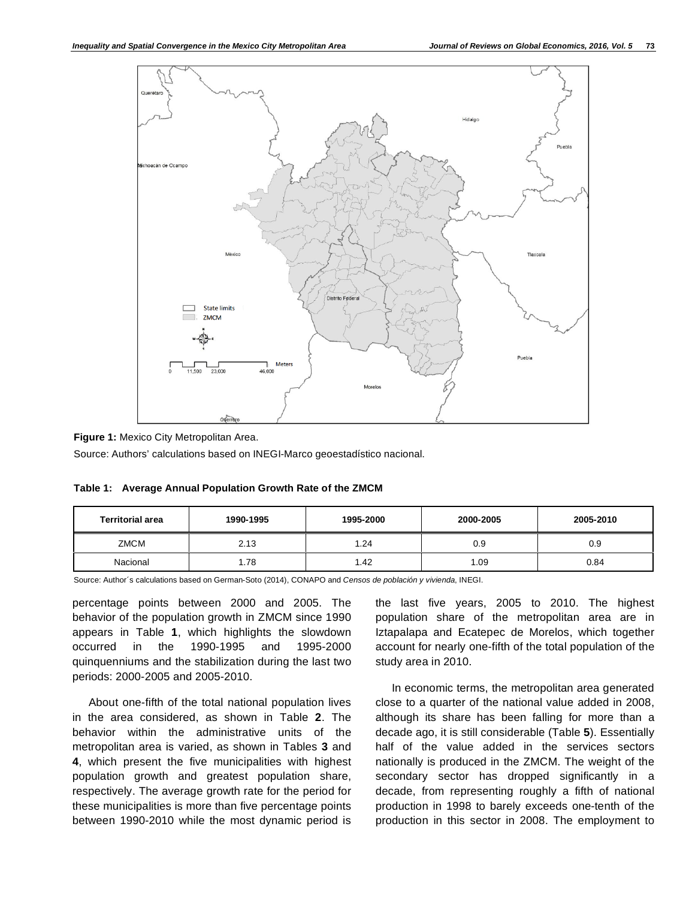

**Figure 1:** Mexico City Metropolitan Area.

Source: Authors' calculations based on INEGI-Marco geoestadístico nacional.

| <b>Territorial area</b> | 1990-1995 | 1995-2000 | 2000-2005 | 2005-2010 |
|-------------------------|-----------|-----------|-----------|-----------|
| ZMCM                    | 2.13      | .24       | 0.9       | 0.9       |
| Nacional                | 1.78      | .42       | 1.09      | 0.84      |

**Table 1: Average Annual Population Growth Rate of the ZMCM** 

Source: Author´s calculations based on German-Soto (2014), CONAPO and *Censos de población y vivienda*, INEGI.

percentage points between 2000 and 2005. The behavior of the population growth in ZMCM since 1990 appears in Table **1**, which highlights the slowdown occurred in the 1990-1995 and 1995-2000 quinquenniums and the stabilization during the last two periods: 2000-2005 and 2005-2010.

About one-fifth of the total national population lives in the area considered, as shown in Table **2**. The behavior within the administrative units of the metropolitan area is varied, as shown in Tables **3** and **4**, which present the five municipalities with highest population growth and greatest population share, respectively. The average growth rate for the period for these municipalities is more than five percentage points between 1990-2010 while the most dynamic period is

the last five years, 2005 to 2010. The highest population share of the metropolitan area are in Iztapalapa and Ecatepec de Morelos, which together account for nearly one-fifth of the total population of the study area in 2010.

In economic terms, the metropolitan area generated close to a quarter of the national value added in 2008, although its share has been falling for more than a decade ago, it is still considerable (Table **5**). Essentially half of the value added in the services sectors nationally is produced in the ZMCM. The weight of the secondary sector has dropped significantly in a decade, from representing roughly a fifth of national production in 1998 to barely exceeds one-tenth of the production in this sector in 2008. The employment to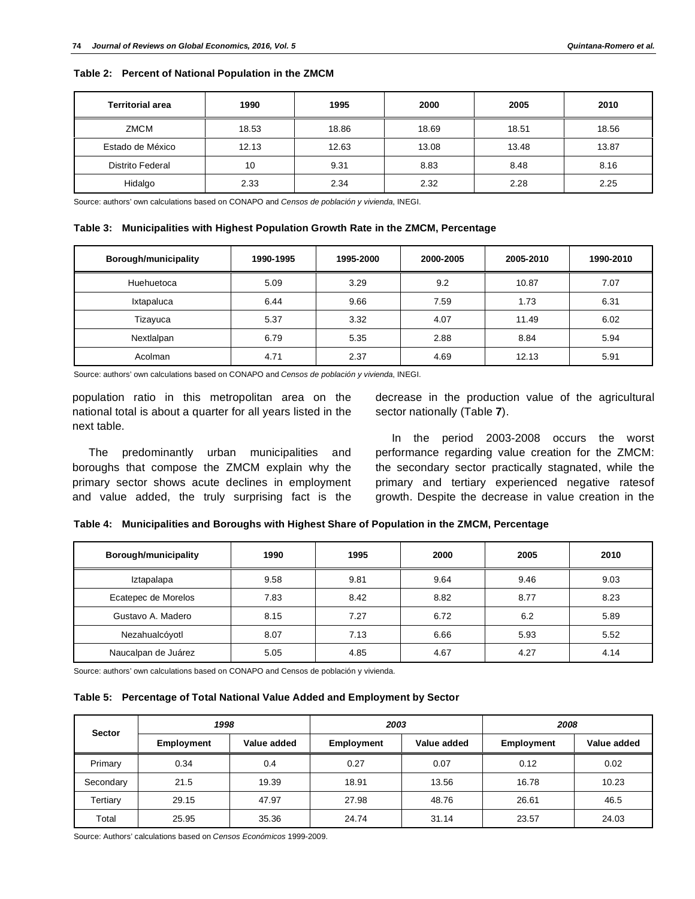| <b>Territorial area</b> | 1990  | 1995  | 2000  | 2005  | 2010  |
|-------------------------|-------|-------|-------|-------|-------|
| ZMCM                    | 18.53 | 18.86 | 18.69 | 18.51 | 18.56 |
| Estado de México        | 12.13 | 12.63 | 13.08 | 13.48 | 13.87 |
| Distrito Federal        | 10    | 9.31  | 8.83  | 8.48  | 8.16  |
| Hidalgo                 | 2.33  | 2.34  | 2.32  | 2.28  | 2.25  |

**Table 2: Percent of National Population in the ZMCM** 

Source: authors' own calculations based on CONAPO and *Censos de población y vivienda*, INEGI.

**Table 3: Municipalities with Highest Population Growth Rate in the ZMCM, Percentage** 

| <b>Borough/municipality</b> | 1990-1995 | 1995-2000 | 2000-2005 | 2005-2010 | 1990-2010 |
|-----------------------------|-----------|-----------|-----------|-----------|-----------|
| Huehuetoca                  | 5.09      | 3.29      | 9.2       | 10.87     | 7.07      |
| Ixtapaluca                  | 6.44      | 9.66      | 7.59      | 1.73      | 6.31      |
| Tizayuca                    | 5.37      | 3.32      | 4.07      | 11.49     | 6.02      |
| Nextlalpan                  | 6.79      | 5.35      | 2.88      | 8.84      | 5.94      |
| Acolman                     | 4.71      | 2.37      | 4.69      | 12.13     | 5.91      |

Source: authors' own calculations based on CONAPO and *Censos de población y vivienda*, INEGI.

population ratio in this metropolitan area on the national total is about a quarter for all years listed in the next table.

The predominantly urban municipalities and boroughs that compose the ZMCM explain why the primary sector shows acute declines in employment and value added, the truly surprising fact is the

decrease in the production value of the agricultural sector nationally (Table **7**).

In the period 2003-2008 occurs the worst performance regarding value creation for the ZMCM: the secondary sector practically stagnated, while the primary and tertiary experienced negative ratesof growth. Despite the decrease in value creation in the

| Table 4: Municipalities and Boroughs with Highest Share of Population in the ZMCM, Percentage |  |  |  |
|-----------------------------------------------------------------------------------------------|--|--|--|
|                                                                                               |  |  |  |

| Borough/municipality | 1990 | 1995 | 2000 | 2005 | 2010 |
|----------------------|------|------|------|------|------|
| Iztapalapa           | 9.58 | 9.81 | 9.64 | 9.46 | 9.03 |
| Ecatepec de Morelos  | 7.83 | 8.42 | 8.82 | 8.77 | 8.23 |
| Gustavo A. Madero    | 8.15 | 7.27 | 6.72 | 6.2  | 5.89 |
| Nezahualcóyotl       | 8.07 | 7.13 | 6.66 | 5.93 | 5.52 |
| Naucalpan de Juárez  | 5.05 | 4.85 | 4.67 | 4.27 | 4.14 |

Source: authors' own calculations based on CONAPO and Censos de población y vivienda.

|  | Table 5: Percentage of Total National Value Added and Employment by Sector |  |  |  |  |
|--|----------------------------------------------------------------------------|--|--|--|--|
|--|----------------------------------------------------------------------------|--|--|--|--|

| <b>Sector</b> | 1998              |             | 2003              |             | 2008              |             |
|---------------|-------------------|-------------|-------------------|-------------|-------------------|-------------|
|               | <b>Employment</b> | Value added | <b>Employment</b> | Value added | <b>Employment</b> | Value added |
| Primary       | 0.34              | 0.4         | 0.27              | 0.07        | 0.12              | 0.02        |
| Secondary     | 21.5              | 19.39       | 18.91             | 13.56       | 16.78             | 10.23       |
| Tertiary      | 29.15             | 47.97       | 27.98             | 48.76       | 26.61             | 46.5        |
| Total         | 25.95             | 35.36       | 24.74             | 31.14       | 23.57             | 24.03       |

Source: Authors' calculations based on *Censos Económicos* 1999-2009.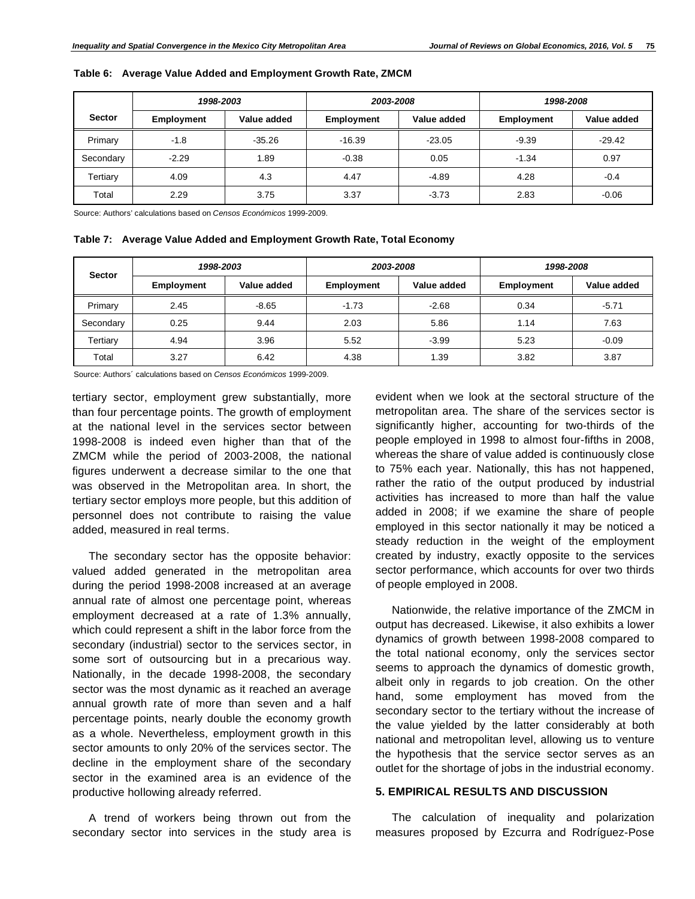|               | 1998-2003  |             | 2003-2008         |             | 1998-2008         |             |
|---------------|------------|-------------|-------------------|-------------|-------------------|-------------|
| <b>Sector</b> | Employment | Value added | <b>Employment</b> | Value added | <b>Employment</b> | Value added |
| Primary       | $-1.8$     | $-35.26$    | $-16.39$          | $-23.05$    | $-9.39$           | $-29.42$    |
| Secondary     | $-2.29$    | 1.89        | $-0.38$           | 0.05        | $-1.34$           | 0.97        |
| Tertiary      | 4.09       | 4.3         | 4.47              | $-4.89$     | 4.28              | $-0.4$      |
| Total         | 2.29       | 3.75        | 3.37              | $-3.73$     | 2.83              | $-0.06$     |

| Table 6: Average Value Added and Employment Growth Rate, ZMCM |  |  |  |  |  |  |
|---------------------------------------------------------------|--|--|--|--|--|--|
|---------------------------------------------------------------|--|--|--|--|--|--|

Source: Authors' calculations based on *Censos Económicos* 1999-2009.

**Table 7: Average Value Added and Employment Growth Rate, Total Economy** 

| <b>Sector</b> | 1998-2003         |             | 2003-2008         |             | 1998-2008         |             |
|---------------|-------------------|-------------|-------------------|-------------|-------------------|-------------|
|               | <b>Employment</b> | Value added | <b>Employment</b> | Value added | <b>Employment</b> | Value added |
| Primary       | 2.45              | $-8.65$     | $-1.73$           | $-2.68$     | 0.34              | $-5.71$     |
| Secondary     | 0.25              | 9.44        | 2.03              | 5.86        | 1.14              | 7.63        |
| Tertiary      | 4.94              | 3.96        | 5.52              | $-3.99$     | 5.23              | $-0.09$     |
| Total         | 3.27              | 6.42        | 4.38              | 1.39        | 3.82              | 3.87        |

Source: Authors´ calculations based on *Censos Económicos* 1999-2009.

tertiary sector, employment grew substantially, more than four percentage points. The growth of employment at the national level in the services sector between 1998-2008 is indeed even higher than that of the ZMCM while the period of 2003-2008, the national figures underwent a decrease similar to the one that was observed in the Metropolitan area. In short, the tertiary sector employs more people, but this addition of personnel does not contribute to raising the value added, measured in real terms.

The secondary sector has the opposite behavior: valued added generated in the metropolitan area during the period 1998-2008 increased at an average annual rate of almost one percentage point, whereas employment decreased at a rate of 1.3% annually, which could represent a shift in the labor force from the secondary (industrial) sector to the services sector, in some sort of outsourcing but in a precarious way. Nationally, in the decade 1998-2008, the secondary sector was the most dynamic as it reached an average annual growth rate of more than seven and a half percentage points, nearly double the economy growth as a whole. Nevertheless, employment growth in this sector amounts to only 20% of the services sector. The decline in the employment share of the secondary sector in the examined area is an evidence of the productive hollowing already referred.

A trend of workers being thrown out from the secondary sector into services in the study area is

evident when we look at the sectoral structure of the metropolitan area. The share of the services sector is significantly higher, accounting for two-thirds of the people employed in 1998 to almost four-fifths in 2008, whereas the share of value added is continuously close to 75% each year. Nationally, this has not happened, rather the ratio of the output produced by industrial activities has increased to more than half the value added in 2008; if we examine the share of people employed in this sector nationally it may be noticed a steady reduction in the weight of the employment created by industry, exactly opposite to the services sector performance, which accounts for over two thirds of people employed in 2008.

Nationwide, the relative importance of the ZMCM in output has decreased. Likewise, it also exhibits a lower dynamics of growth between 1998-2008 compared to the total national economy, only the services sector seems to approach the dynamics of domestic growth, albeit only in regards to job creation. On the other hand, some employment has moved from the secondary sector to the tertiary without the increase of the value yielded by the latter considerably at both national and metropolitan level, allowing us to venture the hypothesis that the service sector serves as an outlet for the shortage of jobs in the industrial economy.

### **5. EMPIRICAL RESULTS AND DISCUSSION**

The calculation of inequality and polarization measures proposed by Ezcurra and Rodríguez-Pose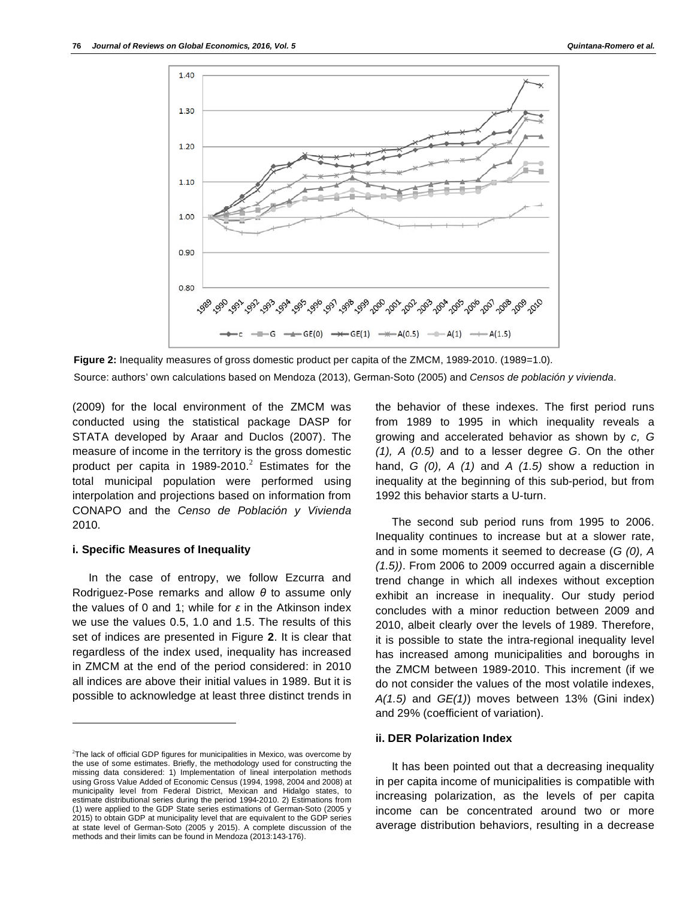

**Figure 2:** Inequality measures of gross domestic product per capita of the ZMCM, 1989-2010. (1989=1.0). Source: authors' own calculations based on Mendoza (2013), German-Soto (2005) and *Censos de población y vivienda*.

(2009) for the local environment of the ZMCM was conducted using the statistical package DASP for STATA developed by Araar and Duclos (2007). The measure of income in the territory is the gross domestic product per capita in 1989-2010.<sup>2</sup> Estimates for the total municipal population were performed using interpolation and projections based on information from CONAPO and the *Censo de Población y Vivienda* 2010.

# **i. Specific Measures of Inequality**

l

In the case of entropy, we follow Ezcurra and Rodriguez-Pose remarks and allow  $\theta$  to assume only the values of 0 and 1; while for  $\varepsilon$  in the Atkinson index we use the values 0.5, 1.0 and 1.5. The results of this set of indices are presented in Figure **2**. It is clear that regardless of the index used, inequality has increased in ZMCM at the end of the period considered: in 2010 all indices are above their initial values in 1989. But it is possible to acknowledge at least three distinct trends in

the behavior of these indexes. The first period runs from 1989 to 1995 in which inequality reveals a growing and accelerated behavior as shown by *c, G (1), A (0.5)* and to a lesser degree *G*. On the other hand, *G (0), A (1)* and *A (1.5)* show a reduction in inequality at the beginning of this sub-period, but from 1992 this behavior starts a U-turn.

The second sub period runs from 1995 to 2006. Inequality continues to increase but at a slower rate, and in some moments it seemed to decrease (*G (0), A (1.5))*. From 2006 to 2009 occurred again a discernible trend change in which all indexes without exception exhibit an increase in inequality. Our study period concludes with a minor reduction between 2009 and 2010, albeit clearly over the levels of 1989. Therefore, it is possible to state the intra-regional inequality level has increased among municipalities and boroughs in the ZMCM between 1989-2010. This increment (if we do not consider the values of the most volatile indexes, *A(1.5)* and *GE(1)*) moves between 13% (Gini index) and 29% (coefficient of variation).

### **ii. DER Polarization Index**

It has been pointed out that a decreasing inequality in per capita income of municipalities is compatible with increasing polarization, as the levels of per capita income can be concentrated around two or more average distribution behaviors, resulting in a decrease

 $2$ The lack of official GDP figures for municipalities in Mexico, was overcome by the use of some estimates. Briefly, the methodology used for constructing the missing data considered: 1) Implementation of lineal interpolation methods using Gross Value Added of Economic Census (1994, 1998, 2004 and 2008) at municipality level from Federal District, Mexican and Hidalgo states, to estimate distributional series during the period 1994-2010. 2) Estimations from (1) were applied to the GDP State series estimations of German-Soto (2005 y 2015) to obtain GDP at municipality level that are equivalent to the GDP series at state level of German-Soto (2005 y 2015). A complete discussion of the methods and their limits can be found in Mendoza (2013:143-176).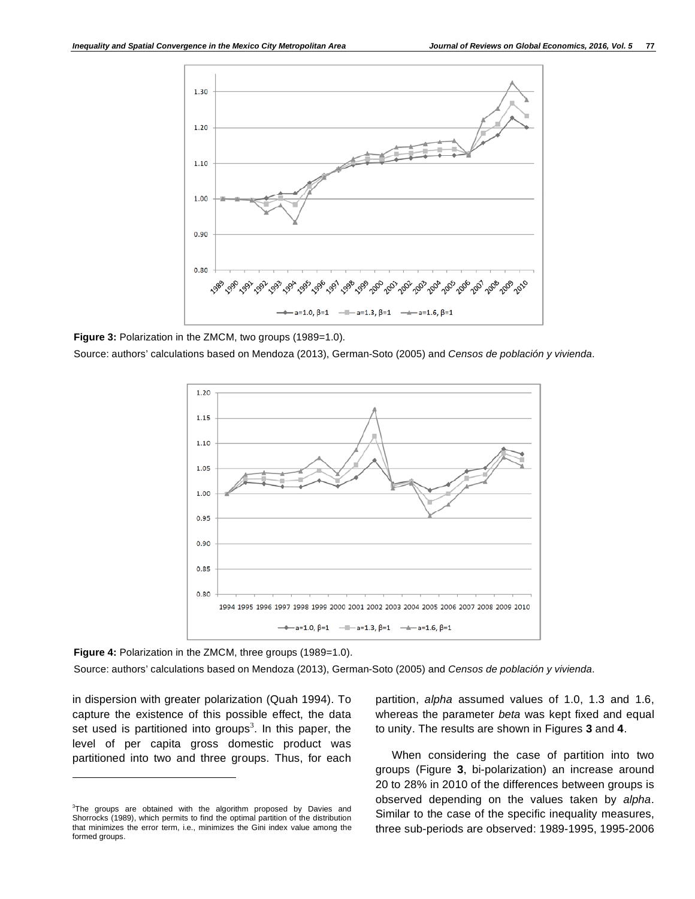

Figure 3: Polarization in the ZMCM, two groups (1989=1.0).

Source: authors' calculations based on Mendoza (2013), German-Soto (2005) and *Censos de población y vivienda*.



**Figure 4:** Polarization in the ZMCM, three groups (1989=1.0).

Source: authors' calculations based on Mendoza (2013), German-Soto (2005) and *Censos de población y vivienda*.

in dispersion with greater polarization (Quah 1994). To capture the existence of this possible effect, the data set used is partitioned into groups<sup>3</sup>. In this paper, the level of per capita gross domestic product was partitioned into two and three groups. Thus, for each

l

partition, *alpha* assumed values of 1.0, 1.3 and 1.6, whereas the parameter *beta* was kept fixed and equal to unity. The results are shown in Figures **3** and **4**.

When considering the case of partition into two groups (Figure **3**, bi-polarization) an increase around 20 to 28% in 2010 of the differences between groups is observed depending on the values taken by *alpha*. Similar to the case of the specific inequality measures, three sub-periods are observed: 1989-1995, 1995-2006

 $3$ The groups are obtained with the algorithm proposed by Davies and Shorrocks (1989), which permits to find the optimal partition of the distribution that minimizes the error term, i.e., minimizes the Gini index value among the formed groups.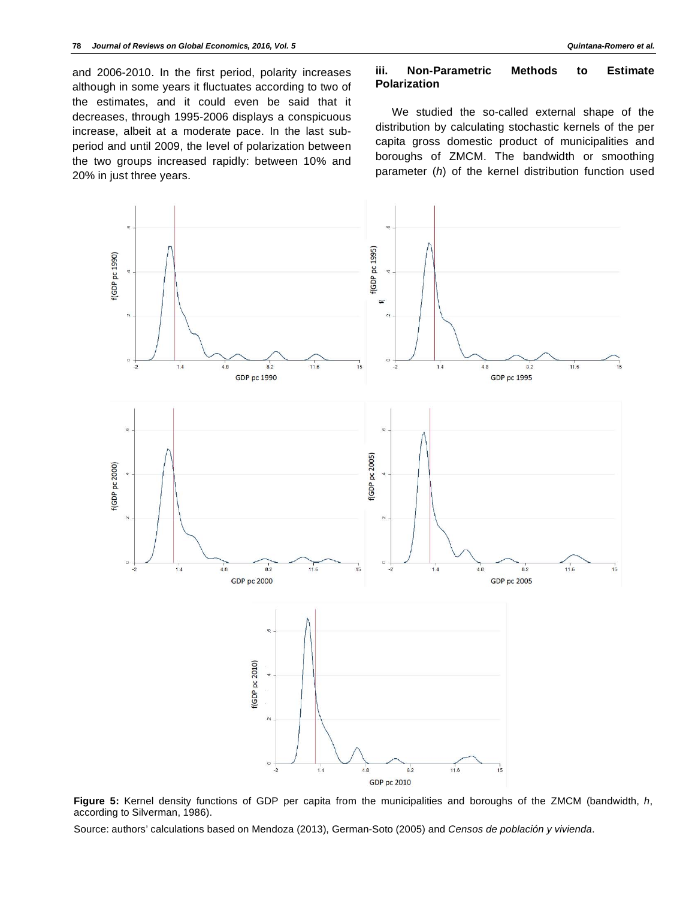and 2006-2010. In the first period, polarity increases although in some years it fluctuates according to two of the estimates, and it could even be said that it decreases, through 1995-2006 displays a conspicuous increase, albeit at a moderate pace. In the last subperiod and until 2009, the level of polarization between the two groups increased rapidly: between 10% and 20% in just three years.

# **iii. Non-Parametric Methods to Estimate Polarization**

We studied the so-called external shape of the distribution by calculating stochastic kernels of the per capita gross domestic product of municipalities and boroughs of ZMCM. The bandwidth or smoothing parameter (*h*) of the kernel distribution function used



**Figure 5:** Kernel density functions of GDP per capita from the municipalities and boroughs of the ZMCM (bandwidth, *h*, according to Silverman, 1986).

Source: authors' calculations based on Mendoza (2013), German-Soto (2005) and *Censos de población y vivienda*.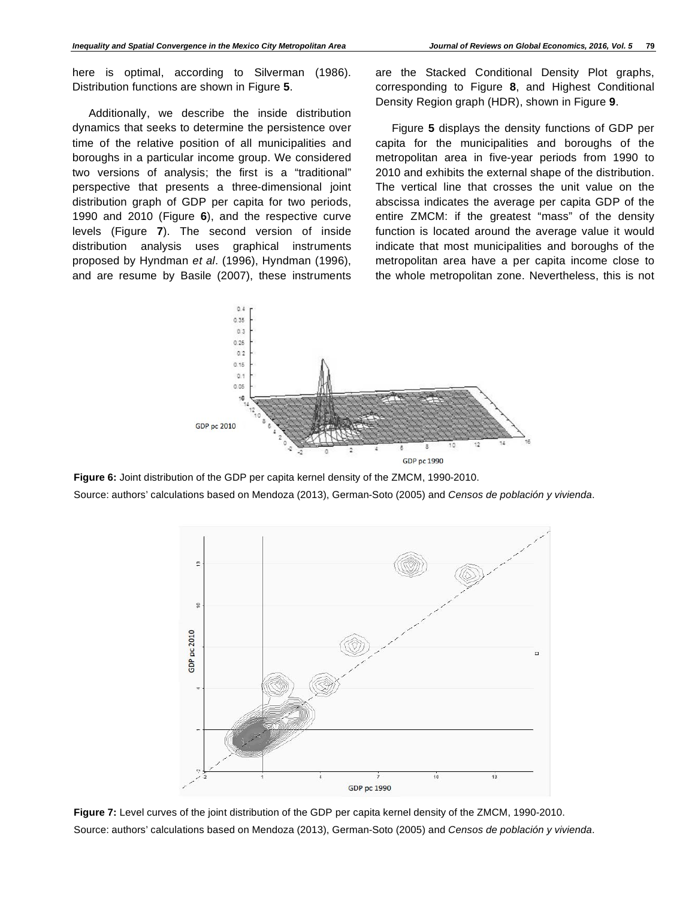here is optimal, according to Silverman (1986). Distribution functions are shown in Figure **5**.

Additionally, we describe the inside distribution dynamics that seeks to determine the persistence over time of the relative position of all municipalities and boroughs in a particular income group. We considered two versions of analysis; the first is a "traditional" perspective that presents a three-dimensional joint distribution graph of GDP per capita for two periods, 1990 and 2010 (Figure **6**), and the respective curve levels (Figure **7**). The second version of inside distribution analysis uses graphical instruments proposed by Hyndman *et al*. (1996), Hyndman (1996), and are resume by Basile (2007), these instruments

are the Stacked Conditional Density Plot graphs, corresponding to Figure **8**, and Highest Conditional Density Region graph (HDR), shown in Figure **9**.

Figure **5** displays the density functions of GDP per capita for the municipalities and boroughs of the metropolitan area in five-year periods from 1990 to 2010 and exhibits the external shape of the distribution. The vertical line that crosses the unit value on the abscissa indicates the average per capita GDP of the entire ZMCM: if the greatest "mass" of the density function is located around the average value it would indicate that most municipalities and boroughs of the metropolitan area have a per capita income close to the whole metropolitan zone. Nevertheless, this is not



**Figure 6:** Joint distribution of the GDP per capita kernel density of the ZMCM, 1990-2010. Source: authors' calculations based on Mendoza (2013), German-Soto (2005) and *Censos de población y vivienda*.



**Figure 7:** Level curves of the joint distribution of the GDP per capita kernel density of the ZMCM, 1990-2010. Source: authors' calculations based on Mendoza (2013), German-Soto (2005) and *Censos de población y vivienda*.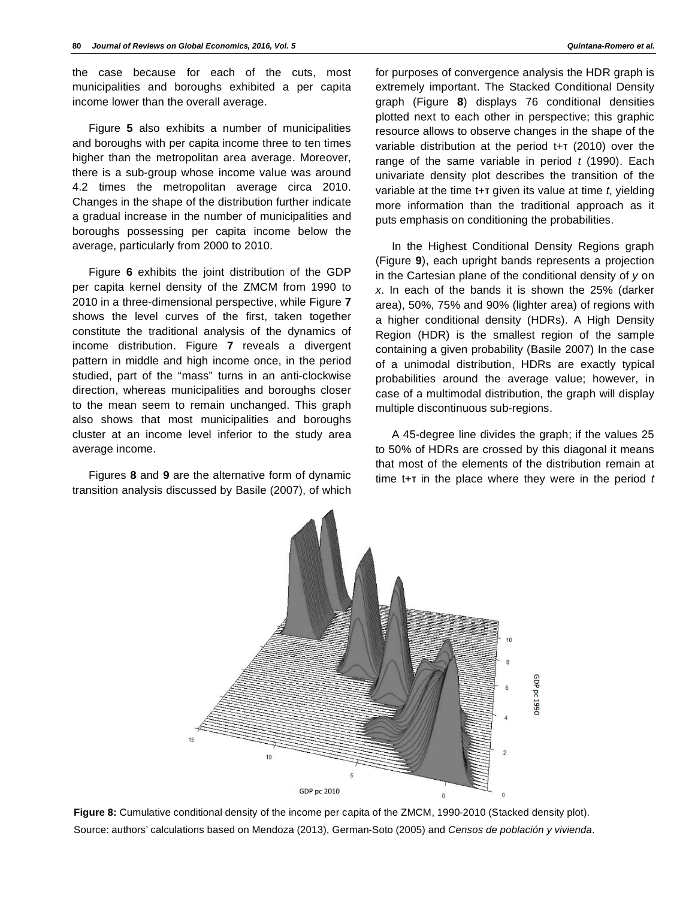the case because for each of the cuts, most municipalities and boroughs exhibited a per capita income lower than the overall average.

Figure **5** also exhibits a number of municipalities and boroughs with per capita income three to ten times higher than the metropolitan area average. Moreover, there is a sub-group whose income value was around 4.2 times the metropolitan average circa 2010. Changes in the shape of the distribution further indicate a gradual increase in the number of municipalities and boroughs possessing per capita income below the average, particularly from 2000 to 2010.

Figure **6** exhibits the joint distribution of the GDP per capita kernel density of the ZMCM from 1990 to 2010 in a three-dimensional perspective, while Figure **7** shows the level curves of the first, taken together constitute the traditional analysis of the dynamics of income distribution. Figure **7** reveals a divergent pattern in middle and high income once, in the period studied, part of the "mass" turns in an anti-clockwise direction, whereas municipalities and boroughs closer to the mean seem to remain unchanged. This graph also shows that most municipalities and boroughs cluster at an income level inferior to the study area average income.

Figures **8** and **9** are the alternative form of dynamic transition analysis discussed by Basile (2007), of which for purposes of convergence analysis the HDR graph is extremely important. The Stacked Conditional Density graph (Figure **8**) displays 76 conditional densities plotted next to each other in perspective; this graphic resource allows to observe changes in the shape of the variable distribution at the period  $t+T$  (2010) over the range of the same variable in period *t* (1990). Each univariate density plot describes the transition of the variable at the time  $t + \tau$  given its value at time  $t$ , yielding more information than the traditional approach as it puts emphasis on conditioning the probabilities.

In the Highest Conditional Density Regions graph (Figure **9**), each upright bands represents a projection in the Cartesian plane of the conditional density of *y* on *x*. In each of the bands it is shown the 25% (darker area), 50%, 75% and 90% (lighter area) of regions with a higher conditional density (HDRs). A High Density Region (HDR) is the smallest region of the sample containing a given probability (Basile 2007) In the case of a unimodal distribution, HDRs are exactly typical probabilities around the average value; however, in case of a multimodal distribution, the graph will display multiple discontinuous sub-regions.

A 45-degree line divides the graph; if the values 25 to 50% of HDRs are crossed by this diagonal it means that most of the elements of the distribution remain at time t+T in the place where they were in the period t



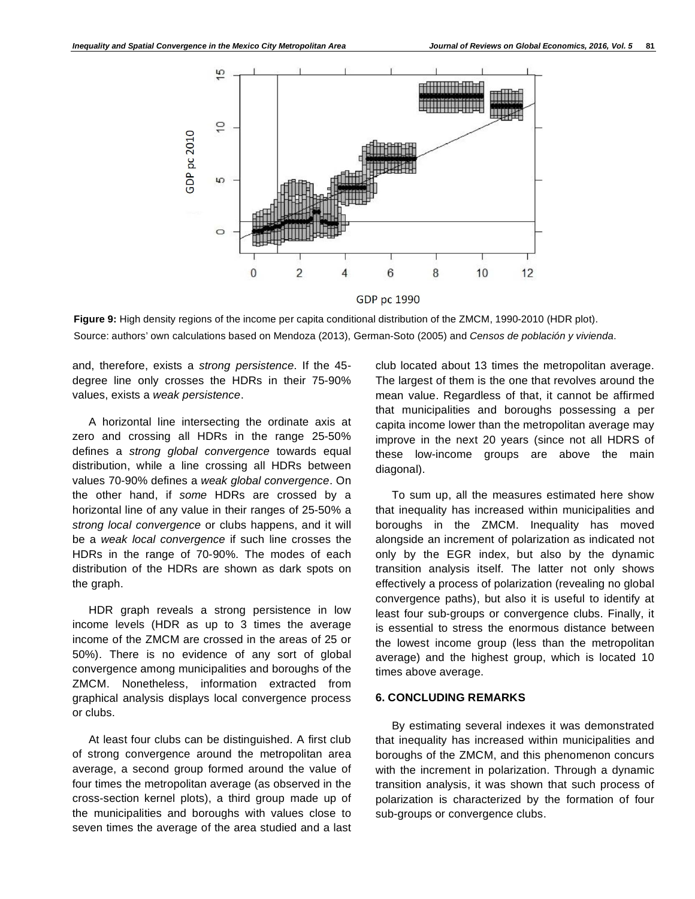

**GDP** pc 1990

**Figure 9:** High density regions of the income per capita conditional distribution of the ZMCM, 1990-2010 (HDR plot). Source: authors' own calculations based on Mendoza (2013), German-Soto (2005) and *Censos de población y vivienda*.

and, therefore, exists a *strong persistence*. If the 45 degree line only crosses the HDRs in their 75-90% values, exists a *weak persistence*.

A horizontal line intersecting the ordinate axis at zero and crossing all HDRs in the range 25-50% defines a *strong global convergence* towards equal distribution, while a line crossing all HDRs between values 70-90% defines a *weak global convergence*. On the other hand, if *some* HDRs are crossed by a horizontal line of any value in their ranges of 25-50% a *strong local convergence* or clubs happens, and it will be a *weak local convergence* if such line crosses the HDRs in the range of 70-90%. The modes of each distribution of the HDRs are shown as dark spots on the graph.

HDR graph reveals a strong persistence in low income levels (HDR as up to 3 times the average income of the ZMCM are crossed in the areas of 25 or 50%). There is no evidence of any sort of global convergence among municipalities and boroughs of the ZMCM. Nonetheless, information extracted from graphical analysis displays local convergence process or clubs.

At least four clubs can be distinguished. A first club of strong convergence around the metropolitan area average, a second group formed around the value of four times the metropolitan average (as observed in the cross-section kernel plots), a third group made up of the municipalities and boroughs with values close to seven times the average of the area studied and a last

club located about 13 times the metropolitan average. The largest of them is the one that revolves around the mean value. Regardless of that, it cannot be affirmed that municipalities and boroughs possessing a per capita income lower than the metropolitan average may improve in the next 20 years (since not all HDRS of these low-income groups are above the main diagonal).

To sum up, all the measures estimated here show that inequality has increased within municipalities and boroughs in the ZMCM. Inequality has moved alongside an increment of polarization as indicated not only by the EGR index, but also by the dynamic transition analysis itself. The latter not only shows effectively a process of polarization (revealing no global convergence paths), but also it is useful to identify at least four sub-groups or convergence clubs. Finally, it is essential to stress the enormous distance between the lowest income group (less than the metropolitan average) and the highest group, which is located 10 times above average.

### **6. CONCLUDING REMARKS**

By estimating several indexes it was demonstrated that inequality has increased within municipalities and boroughs of the ZMCM, and this phenomenon concurs with the increment in polarization. Through a dynamic transition analysis, it was shown that such process of polarization is characterized by the formation of four sub-groups or convergence clubs.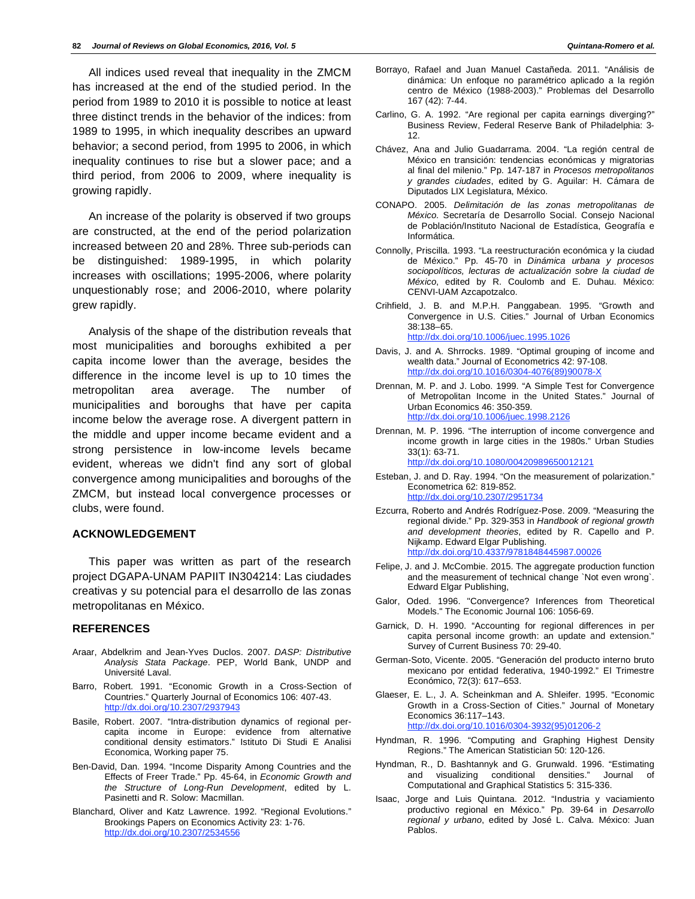All indices used reveal that inequality in the ZMCM has increased at the end of the studied period. In the period from 1989 to 2010 it is possible to notice at least three distinct trends in the behavior of the indices: from 1989 to 1995, in which inequality describes an upward behavior; a second period, from 1995 to 2006, in which inequality continues to rise but a slower pace; and a third period, from 2006 to 2009, where inequality is growing rapidly.

An increase of the polarity is observed if two groups are constructed, at the end of the period polarization increased between 20 and 28%. Three sub-periods can be distinguished: 1989-1995, in which polarity increases with oscillations; 1995-2006, where polarity unquestionably rose; and 2006-2010, where polarity grew rapidly.

Analysis of the shape of the distribution reveals that most municipalities and boroughs exhibited a per capita income lower than the average, besides the difference in the income level is up to 10 times the metropolitan area average. The number of municipalities and boroughs that have per capita income below the average rose. A divergent pattern in the middle and upper income became evident and a strong persistence in low-income levels became evident, whereas we didn't find any sort of global convergence among municipalities and boroughs of the ZMCM, but instead local convergence processes or clubs, were found.

### **ACKNOWLEDGEMENT**

This paper was written as part of the research project DGAPA-UNAM PAPIIT IN304214: Las ciudades creativas y su potencial para el desarrollo de las zonas metropolitanas en México.

#### **REFERENCES**

- Araar, Abdelkrim and Jean-Yves Duclos. 2007. *DASP: Distributive Analysis Stata Package*. PEP, World Bank, UNDP and Université Laval.
- Barro, Robert. 1991. "Economic Growth in a Cross-Section of Countries." Quarterly Journal of Economics 106: 407-43. http://dx.doi.org/10.2307/2937943
- Basile, Robert. 2007. "Intra-distribution dynamics of regional percapita income in Europe: evidence from alternative conditional density estimators." Istituto Di Studi E Analisi Economica, Working paper 75.
- Ben-David, Dan. 1994. "Income Disparity Among Countries and the Effects of Freer Trade." Pp. 45-64, in *Economic Growth and the Structure of Long-Run Development*, edited by L. Pasinetti and R. Solow: Macmillan.
- Blanchard, Oliver and Katz Lawrence. 1992. "Regional Evolutions." Brookings Papers on Economics Activity 23: 1-76. http://dx.doi.org/10.2307/2534556
- Borrayo, Rafael and Juan Manuel Castañeda. 2011. "Análisis de dinámica: Un enfoque no paramétrico aplicado a la región centro de México (1988-2003)." Problemas del Desarrollo 167 (42): 7-44.
- Carlino, G. A. 1992. "Are regional per capita earnings diverging?" Business Review, Federal Reserve Bank of Philadelphia: 3- 12.
- Chávez, Ana and Julio Guadarrama. 2004. "La región central de México en transición: tendencias económicas y migratorias al final del milenio." Pp. 147-187 in *Procesos metropolitanos y grandes ciudades*, edited by G. Aguilar: H. Cámara de Diputados LIX Legislatura, México.
- CONAPO. 2005. *Delimitación de las zonas metropolitanas de México*. Secretaría de Desarrollo Social. Consejo Nacional de Población/Instituto Nacional de Estadística, Geografía e Informática.
- Connolly, Priscilla. 1993. "La reestructuración económica y la ciudad de México." Pp. 45-70 in *Dinámica urbana y procesos sociopolíticos, lecturas de actualización sobre la ciudad de México*, edited by R. Coulomb and E. Duhau. México: CENVI-UAM Azcapotzalco.
- Crihfield, J. B. and M.P.H. Panggabean. 1995. "Growth and Convergence in U.S. Cities." Journal of Urban Economics 38:138–65. http://dx.doi.org/10.1006/juec.1995.1026
- Davis, J. and A. Shrrocks. 1989. "Optimal grouping of income and wealth data." Journal of Econometrics 42: 97-108. http://dx.doi.org/10.1016/0304-4076(89)90078-X
- Drennan, M. P. and J. Lobo. 1999. "A Simple Test for Convergence of Metropolitan Income in the United States." Journal of Urban Economics 46: 350-359. http://dx.doi.org/10.1006/juec.1998.2126
- Drennan, M. P. 1996. "The interruption of income convergence and income growth in large cities in the 1980s." Urban Studies 33(1): 63-71.
	- http://dx.doi.org/10.1080/00420989650012121
- Esteban, J. and D. Ray. 1994. "On the measurement of polarization." Econometrica 62: 819-852. http://dx.doi.org/10.2307/2951734
- Ezcurra, Roberto and Andrés Rodríguez-Pose. 2009. "Measuring the regional divide." Pp. 329-353 in *Handbook of regional growth and development theories*, edited by R. Capello and P. Nijkamp. Edward Elgar Publishing. http://dx.doi.org/10.4337/9781848445987.00026
- Felipe, J. and J. McCombie. 2015. The aggregate production function and the measurement of technical change `Not even wrong`. Edward Elgar Publishing,
- Galor, Oded. 1996. "Convergence? Inferences from Theoretical Models." The Economic Journal 106: 1056-69.
- Garnick, D. H. 1990. "Accounting for regional differences in per capita personal income growth: an update and extension." Survey of Current Business 70: 29-40.
- German-Soto, Vicente. 2005. "Generación del producto interno bruto mexicano por entidad federativa, 1940-1992." El Trimestre Económico, 72(3): 617–653.
- Glaeser, E. L., J. A. Scheinkman and A. Shleifer. 1995. "Economic Growth in a Cross-Section of Cities." Journal of Monetary Economics 36:117–143. http://dx.doi.org/10.1016/0304-3932(95)01206-2
- Hyndman, R. 1996. "Computing and Graphing Highest Density Regions." The American Statistician 50: 120-126.
- Hyndman, R., D. Bashtannyk and G. Grunwald. 1996. "Estimating and visualizing conditional densities." Journal of Computational and Graphical Statistics 5: 315-336.
- Isaac, Jorge and Luis Quintana. 2012. "Industria y vaciamiento productivo regional en México." Pp. 39-64 in *Desarrollo regional y urbano*, edited by José L. Calva. México: Juan Pablos.